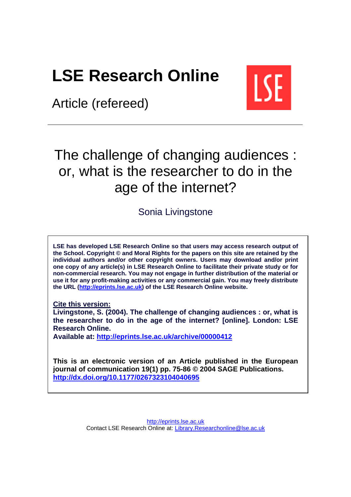# **LSE Research Online**



Article (refereed)

## The challenge of changing audiences : or, what is the researcher to do in the age of the internet?

Sonia Livingstone

**LSE has developed LSE Research Online so that users may access research output of the School. Copyright © and Moral Rights for the papers on this site are retained by the individual authors and/or other copyright owners. Users may download and/or print one copy of any article(s) in LSE Research Online to facilitate their private study or for non-commercial research. You may not engage in further distribution of the material or use it for any profit-making activities or any commercial gain. You may freely distribute the URL [\(http://eprints.lse.ac.uk\)](http://eprints.lse.ac.uk/) of the LSE Research Online website.** 

**Cite this version:** 

**Livingstone, S. (2004). The challenge of changing audiences : or, what is the researcher to do in the age of the internet? [online]. London: LSE Research Online.** 

**Available at: <http://eprints.lse.ac.uk/archive/00000412>** 

**This is an electronic version of an Article published in the European journal of communication 19(1) pp. 75-86 © 2004 SAGE Publications. <http://dx.doi.org/10.1177/0267323104040695>**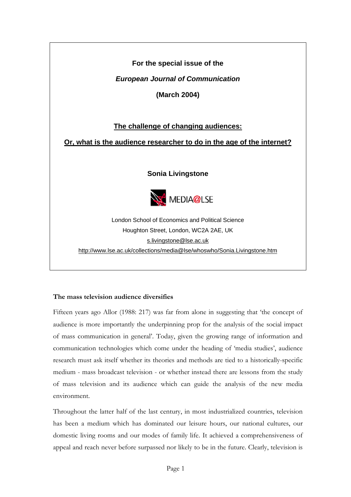

### **The mass television audience diversifies**

Fifteen years ago Allor (1988: 217) was far from alone in suggesting that 'the concept of audience is more importantly the underpinning prop for the analysis of the social impact of mass communication in general'. Today, given the growing range of information and communication technologies which come under the heading of 'media studies', audience research must ask itself whether its theories and methods are tied to a historically-specific medium - mass broadcast television - or whether instead there are lessons from the study of mass television and its audience which can guide the analysis of the new media environment.

Throughout the latter half of the last century, in most industrialized countries, television has been a medium which has dominated our leisure hours, our national cultures, our domestic living rooms and our modes of family life. It achieved a comprehensiveness of appeal and reach never before surpassed nor likely to be in the future. Clearly, television is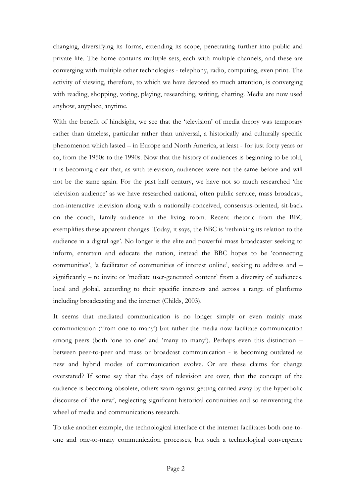changing, diversifying its forms, extending its scope, penetrating further into public and private life. The home contains multiple sets, each with multiple channels, and these are converging with multiple other technologies - telephony, radio, computing, even print. The activity of viewing, therefore, to which we have devoted so much attention, is converging with reading, shopping, voting, playing, researching, writing, chatting. Media are now used anyhow, anyplace, anytime.

With the benefit of hindsight, we see that the 'television' of media theory was temporary rather than timeless, particular rather than universal, a historically and culturally specific phenomenon which lasted – in Europe and North America, at least - for just forty years or so, from the 1950s to the 1990s. Now that the history of audiences is beginning to be told, it is becoming clear that, as with television, audiences were not the same before and will not be the same again. For the past half century, we have not so much researched 'the television audience' as we have researched national, often public service, mass broadcast, non-interactive television along with a nationally-conceived, consensus-oriented, sit-back on the couch, family audience in the living room. Recent rhetoric from the BBC exemplifies these apparent changes. Today, it says, the BBC is 'rethinking its relation to the audience in a digital age'. No longer is the elite and powerful mass broadcaster seeking to inform, entertain and educate the nation, instead the BBC hopes to be 'connecting communities', 'a facilitator of communities of interest online', seeking to address and – significantly – to invite or 'mediate user-generated content' from a diversity of audiences, local and global, according to their specific interests and across a range of platforms including broadcasting and the internet (Childs, 2003).

It seems that mediated communication is no longer simply or even mainly mass communication ('from one to many') but rather the media now facilitate communication among peers (both 'one to one' and 'many to many'). Perhaps even this distinction – between peer-to-peer and mass or broadcast communication - is becoming outdated as new and hybrid modes of communication evolve. Or are these claims for change overstated? If some say that the days of television are over, that the concept of the audience is becoming obsolete, others warn against getting carried away by the hyperbolic discourse of 'the new', neglecting significant historical continuities and so reinventing the wheel of media and communications research.

To take another example, the technological interface of the internet facilitates both one-toone and one-to-many communication processes, but such a technological convergence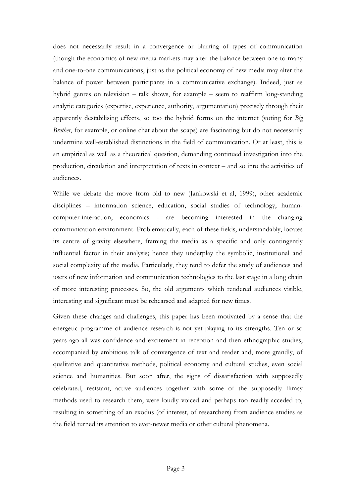does not necessarily result in a convergence or blurring of types of communication (though the economics of new media markets may alter the balance between one-to-many and one-to-one communications, just as the political economy of new media may alter the balance of power between participants in a communicative exchange). Indeed, just as hybrid genres on television – talk shows, for example – seem to reaffirm long-standing analytic categories (expertise, experience, authority, argumentation) precisely through their apparently destabilising effects, so too the hybrid forms on the internet (voting for *Big Brother*, for example, or online chat about the soaps) are fascinating but do not necessarily undermine well-established distinctions in the field of communication. Or at least, this is an empirical as well as a theoretical question, demanding continued investigation into the production, circulation and interpretation of texts in context – and so into the activities of audiences.

While we debate the move from old to new (Jankowski et al, 1999), other academic disciplines – information science, education, social studies of technology, humancomputer-interaction, economics - are becoming interested in the changing communication environment. Problematically, each of these fields, understandably, locates its centre of gravity elsewhere, framing the media as a specific and only contingently influential factor in their analysis; hence they underplay the symbolic, institutional and social complexity of the media. Particularly, they tend to defer the study of audiences and users of new information and communication technologies to the last stage in a long chain of more interesting processes. So, the old arguments which rendered audiences visible, interesting and significant must be rehearsed and adapted for new times.

Given these changes and challenges, this paper has been motivated by a sense that the energetic programme of audience research is not yet playing to its strengths. Ten or so years ago all was confidence and excitement in reception and then ethnographic studies, accompanied by ambitious talk of convergence of text and reader and, more grandly, of qualitative and quantitative methods, political economy and cultural studies, even social science and humanities. But soon after, the signs of dissatisfaction with supposedly celebrated, resistant, active audiences together with some of the supposedly flimsy methods used to research them, were loudly voiced and perhaps too readily acceded to, resulting in something of an exodus (of interest, of researchers) from audience studies as the field turned its attention to ever-newer media or other cultural phenomena.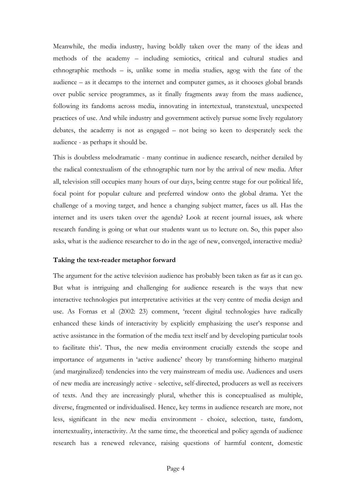Meanwhile, the media industry, having boldly taken over the many of the ideas and methods of the academy – including semiotics, critical and cultural studies and ethnographic methods – is, unlike some in media studies, agog with the fate of the audience – as it decamps to the internet and computer games, as it chooses global brands over public service programmes, as it finally fragments away from the mass audience, following its fandoms across media, innovating in intertextual, transtextual, unexpected practices of use. And while industry and government actively pursue some lively regulatory debates, the academy is not as engaged – not being so keen to desperately seek the audience - as perhaps it should be.

This is doubtless melodramatic - many continue in audience research, neither derailed by the radical contextualism of the ethnographic turn nor by the arrival of new media. After all, television still occupies many hours of our days, being centre stage for our political life, focal point for popular culture and preferred window onto the global drama. Yet the challenge of a moving target, and hence a changing subject matter, faces us all. Has the internet and its users taken over the agenda? Look at recent journal issues, ask where research funding is going or what our students want us to lecture on. So, this paper also asks, what is the audience researcher to do in the age of new, converged, interactive media?

#### **Taking the text-reader metaphor forward**

The argument for the active television audience has probably been taken as far as it can go. But what is intriguing and challenging for audience research is the ways that new interactive technologies put interpretative activities at the very centre of media design and use. As Fornas et al (2002: 23) comment, 'recent digital technologies have radically enhanced these kinds of interactivity by explicitly emphasizing the user's response and active assistance in the formation of the media text itself and by developing particular tools to facilitate this'. Thus, the new media environment crucially extends the scope and importance of arguments in 'active audience' theory by transforming hitherto marginal (and marginalized) tendencies into the very mainstream of media use. Audiences and users of new media are increasingly active - selective, self-directed, producers as well as receivers of texts. And they are increasingly plural, whether this is conceptualised as multiple, diverse, fragmented or individualised. Hence, key terms in audience research are more, not less, significant in the new media environment - choice, selection, taste, fandom, intertextuality, interactivity. At the same time, the theoretical and policy agenda of audience research has a renewed relevance, raising questions of harmful content, domestic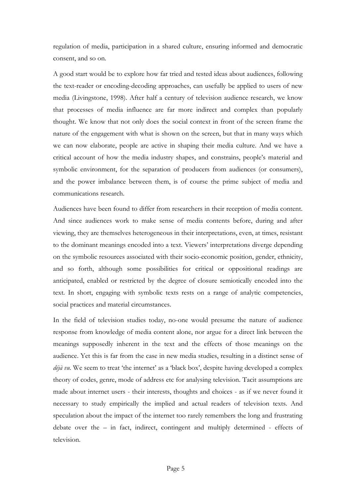regulation of media, participation in a shared culture, ensuring informed and democratic consent, and so on.

A good start would be to explore how far tried and tested ideas about audiences, following the text-reader or encoding-decoding approaches, can usefully be applied to users of new media (Livingstone, 1998). After half a century of television audience research, we know that processes of media influence are far more indirect and complex than popularly thought. We know that not only does the social context in front of the screen frame the nature of the engagement with what is shown on the screen, but that in many ways which we can now elaborate, people are active in shaping their media culture. And we have a critical account of how the media industry shapes, and constrains, people's material and symbolic environment, for the separation of producers from audiences (or consumers), and the power imbalance between them, is of course the prime subject of media and communications research.

Audiences have been found to differ from researchers in their reception of media content. And since audiences work to make sense of media contents before, during and after viewing, they are themselves heterogeneous in their interpretations, even, at times, resistant to the dominant meanings encoded into a text. Viewers' interpretations diverge depending on the symbolic resources associated with their socio-economic position, gender, ethnicity, and so forth, although some possibilities for critical or oppositional readings are anticipated, enabled or restricted by the degree of closure semiotically encoded into the text. In short, engaging with symbolic texts rests on a range of analytic competencies, social practices and material circumstances.

In the field of television studies today, no-one would presume the nature of audience response from knowledge of media content alone, nor argue for a direct link between the meanings supposedly inherent in the text and the effects of those meanings on the audience. Yet this is far from the case in new media studies, resulting in a distinct sense of *déjà vu*. We seem to treat 'the internet' as a 'black box', despite having developed a complex theory of codes, genre, mode of address etc for analysing television. Tacit assumptions are made about internet users - their interests, thoughts and choices - as if we never found it necessary to study empirically the implied and actual readers of television texts. And speculation about the impact of the internet too rarely remembers the long and frustrating debate over the – in fact, indirect, contingent and multiply determined - effects of television.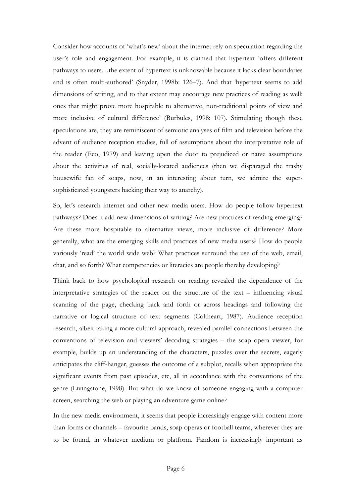Consider how accounts of 'what's new' about the internet rely on speculation regarding the user's role and engagement. For example, it is claimed that hypertext 'offers different pathways to users…the extent of hypertext is unknowable because it lacks clear boundaries and is often multi-authored' (Snyder, 1998b: 126–7). And that 'hypertext seems to add dimensions of writing, and to that extent may encourage new practices of reading as well: ones that might prove more hospitable to alternative, non-traditional points of view and more inclusive of cultural difference' (Burbules, 1998: 107). Stimulating though these speculations are, they are reminiscent of semiotic analyses of film and television before the advent of audience reception studies, full of assumptions about the interpretative role of the reader (Eco, 1979) and leaving open the door to prejudiced or naïve assumptions about the activities of real, socially-located audiences (then we disparaged the trashy housewife fan of soaps, now, in an interesting about turn, we admire the supersophisticated youngsters hacking their way to anarchy).

So, let's research internet and other new media users. How do people follow hypertext pathways? Does it add new dimensions of writing? Are new practices of reading emerging? Are these more hospitable to alternative views, more inclusive of difference? More generally, what are the emerging skills and practices of new media users? How do people variously 'read' the world wide web? What practices surround the use of the web, email, chat, and so forth? What competencies or literacies are people thereby developing?

Think back to how psychological research on reading revealed the dependence of the interpretative strategies of the reader on the structure of the text – influencing visual scanning of the page, checking back and forth or across headings and following the narrative or logical structure of text segments (Coltheart, 1987). Audience reception research, albeit taking a more cultural approach, revealed parallel connections between the conventions of television and viewers' decoding strategies – the soap opera viewer, for example, builds up an understanding of the characters, puzzles over the secrets, eagerly anticipates the cliff-hanger, guesses the outcome of a subplot, recalls when appropriate the significant events from past episodes, etc, all in accordance with the conventions of the genre (Livingstone, 1998). But what do we know of someone engaging with a computer screen, searching the web or playing an adventure game online?

In the new media environment, it seems that people increasingly engage with content more than forms or channels – favourite bands, soap operas or football teams, wherever they are to be found, in whatever medium or platform. Fandom is increasingly important as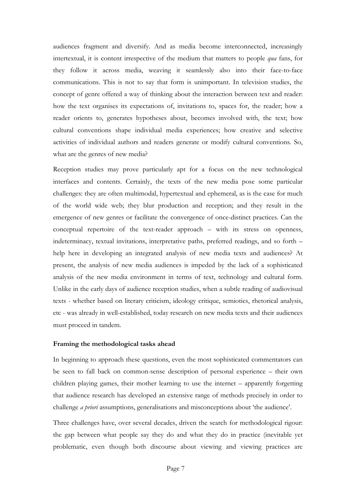audiences fragment and diversify. And as media become interconnected, increasingly intertextual, it is content irrespective of the medium that matters to people *qua* fans, for they follow it across media, weaving it seamlessly also into their face-to-face communications. This is not to say that form is unimportant. In television studies, the concept of genre offered a way of thinking about the interaction between text and reader: how the text organises its expectations of, invitations to, spaces for, the reader; how a reader orients to, generates hypotheses about, becomes involved with, the text; how cultural conventions shape individual media experiences; how creative and selective activities of individual authors and readers generate or modify cultural conventions. So, what are the genres of new media?

Reception studies may prove particularly apt for a focus on the new technological interfaces and contents. Certainly, the texts of the new media pose some particular challenges: they are often multimodal, hypertextual and ephemeral, as is the case for much of the world wide web; they blur production and reception; and they result in the emergence of new genres or facilitate the convergence of once-distinct practices. Can the conceptual repertoire of the text-reader approach – with its stress on openness, indeterminacy, textual invitations, interpretative paths, preferred readings, and so forth – help here in developing an integrated analysis of new media texts and audiences? At present, the analysis of new media audiences is impeded by the lack of a sophisticated analysis of the new media environment in terms of text, technology and cultural form. Unlike in the early days of audience reception studies, when a subtle reading of audiovisual texts - whether based on literary criticism, ideology critique, semiotics, rhetorical analysis, etc - was already in well-established, today research on new media texts and their audiences must proceed in tandem.

#### **Framing the methodological tasks ahead**

In beginning to approach these questions, even the most sophisticated commentators can be seen to fall back on common-sense description of personal experience – their own children playing games, their mother learning to use the internet – apparently forgetting that audience research has developed an extensive range of methods precisely in order to challenge *a priori* assumptions, generalisations and misconceptions about 'the audience'.

Three challenges have, over several decades, driven the search for methodological rigour: the gap between what people say they do and what they do in practice (inevitable yet problematic, even though both discourse about viewing and viewing practices are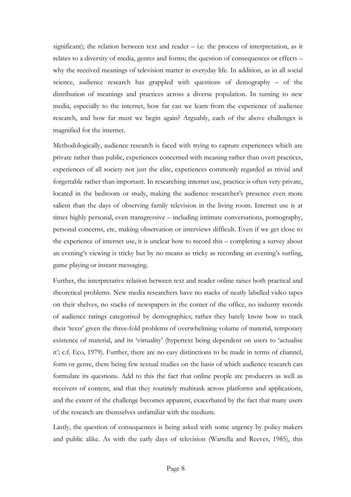significant); the relation between text and reader  $-$  i.e. the process of interpretation, as it relates to a diversity of media, genres and forms; the question of consequences or effects – why the received meanings of television matter in everyday life. In addition, as in all social science, audience research has grappled with questions of demography – of the distribution of meanings and practices across a diverse population. In turning to new media, especially to the internet, how far can we learn from the experience of audience research, and how far must we begin again? Arguably, each of the above challenges is magnified for the internet.

Methodologically, audience research is faced with trying to capture experiences which are private rather than public, experiences concerned with meaning rather than overt practices, experiences of all society not just the elite, experiences commonly regarded as trivial and forgettable rather than important. In researching internet use, practice is often very private, located in the bedroom or study, making the audience researcher's presence even more salient than the days of observing family television in the living room. Internet use is at times highly personal, even transgressive – including intimate conversations, pornography, personal concerns, etc, making observation or interviews difficult. Even if we get close to the experience of internet use, it is unclear how to record this – completing a survey about an evening's viewing is tricky but by no means as tricky as recording an evening's surfing, game playing or instant messaging.

Further, the interpretative relation between text and reader online raises both practical and theoretical problems. New media researchers have no stacks of neatly labelled video tapes on their shelves, no stacks of newspapers in the corner of the office, no industry records of audience ratings categorised by demographics; rather they barely know how to track their 'texts' given the three-fold problems of overwhelming volume of material, temporary existence of material, and its 'virtuality' (hypertext being dependent on users to 'actualise it'; c.f. Eco, 1979). Further, there are no easy distinctions to be made in terms of channel, form or genre, there being few textual studies on the basis of which audience research can formulate its questions. Add to this the fact that online people are producers as well as receivers of content, and that they routinely multitask across platforms and applications, and the extent of the challenge becomes apparent, exacerbated by the fact that many users of the research are themselves unfamiliar with the medium.

Lastly, the question of consequences is being asked with some urgency by policy makers and public alike. As with the early days of television (Wartella and Reeves, 1985), this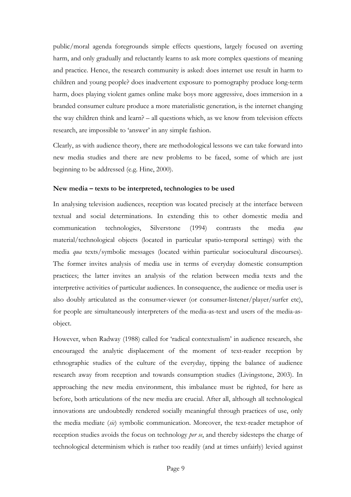public/moral agenda foregrounds simple effects questions, largely focused on averting harm, and only gradually and reluctantly learns to ask more complex questions of meaning and practice. Hence, the research community is asked: does internet use result in harm to children and young people? does inadvertent exposure to pornography produce long-term harm, does playing violent games online make boys more aggressive, does immersion in a branded consumer culture produce a more materialistic generation, is the internet changing the way children think and learn? – all questions which, as we know from television effects research, are impossible to 'answer' in any simple fashion.

Clearly, as with audience theory, there are methodological lessons we can take forward into new media studies and there are new problems to be faced, some of which are just beginning to be addressed (e.g. Hine, 2000).

#### **New media – texts to be interpreted, technologies to be used**

In analysing television audiences, reception was located precisely at the interface between textual and social determinations. In extending this to other domestic media and communication technologies, Silverstone (1994) contrasts the media *qua* material/technological objects (located in particular spatio-temporal settings) with the media *qua* texts/symbolic messages (located within particular sociocultural discourses). The former invites analysis of media use in terms of everyday domestic consumption practices; the latter invites an analysis of the relation between media texts and the interpretive activities of particular audiences. In consequence, the audience or media user is also doubly articulated as the consumer-viewer (or consumer-listener/player/surfer etc), for people are simultaneously interpreters of the media-as-text and users of the media-asobject.

However, when Radway (1988) called for 'radical contextualism' in audience research, she encouraged the analytic displacement of the moment of text-reader reception by ethnographic studies of the culture of the everyday, tipping the balance of audience research away from reception and towards consumption studies (Livingstone, 2003). In approaching the new media environment, this imbalance must be righted, for here as before, both articulations of the new media are crucial. After all, although all technological innovations are undoubtedly rendered socially meaningful through practices of use, only the media mediate (*sic*) symbolic communication. Moreover, the text-reader metaphor of reception studies avoids the focus on technology *per se*, and thereby sidesteps the charge of technological determinism which is rather too readily (and at times unfairly) levied against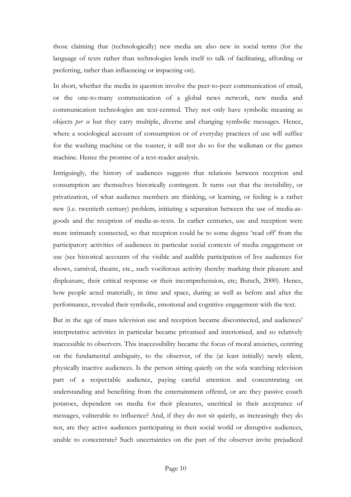those claiming that (technologically) new media are also new in social terms (for the language of texts rather than technologies lends itself to talk of facilitating, affording or preferring, rather than influencing or impacting on).

In short, whether the media in question involve the peer-to-peer communication of email, or the one-to-many communication of a global news network, new media and communication technologies are text-centred. They not only have symbolic meaning as objects *per se* but they carry multiple, diverse and changing symbolic messages. Hence, where a sociological account of consumption or of everyday practices of use will suffice for the washing machine or the toaster, it will not do so for the walkman or the games machine. Hence the promise of a text-reader analysis.

Intriguingly, the history of audiences suggests that relations between reception and consumption are themselves historically contingent. It turns out that the invisibility, or privatization, of what audience members are thinking, or learning, or feeling is a rather new (i.e. twentieth century) problem, initiating a separation between the use of media-asgoods and the reception of media-as-texts. In earlier centuries, use and reception were more intimately connected, so that reception could be to some degree 'read off' from the participatory activities of audiences in particular social contexts of media engagement or use (see historical accounts of the visible and audible participation of live audiences for shows, carnival, theatre, etc., such vociferous activity thereby marking their pleasure and displeasure, their critical response or their incomprehension, etc; Butsch, 2000). Hence, how people acted materially, in time and space, during as well as before and after the performance, revealed their symbolic, emotional and cognitive engagement with the text.

But in the age of mass television use and reception became disconnected, and audiences' interpretative activities in particular became privatised and interiorised, and so relatively inaccessible to observers. This inaccessibility became the focus of moral anxieties, centring on the fundamental ambiguity, to the observer, of the (at least initially) newly silent, physically inactive audiences. Is the person sitting quietly on the sofa watching television part of a respectable audience, paying careful attention and concentrating on understanding and benefiting from the entertainment offered, or are they passive couch potatoes, dependent on media for their pleasures, uncritical in their acceptance of messages, vulnerable to influence? And, if they do not sit quietly, as increasingly they do not, are they active audiences participating in their social world or disruptive audiences, unable to concentrate? Such uncertainties on the part of the observer invite prejudiced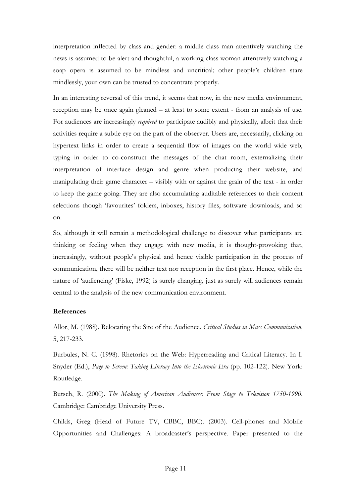interpretation inflected by class and gender: a middle class man attentively watching the news is assumed to be alert and thoughtful, a working class woman attentively watching a soap opera is assumed to be mindless and uncritical; other people's children stare mindlessly, your own can be trusted to concentrate properly.

In an interesting reversal of this trend, it seems that now, in the new media environment, reception may be once again gleaned – at least to some extent - from an analysis of use. For audiences are increasingly *required* to participate audibly and physically, albeit that their activities require a subtle eye on the part of the observer. Users are, necessarily, clicking on hypertext links in order to create a sequential flow of images on the world wide web, typing in order to co-construct the messages of the chat room, externalizing their interpretation of interface design and genre when producing their website, and manipulating their game character – visibly with or against the grain of the text - in order to keep the game going. They are also accumulating auditable references to their content selections though 'favourites' folders, inboxes, history files, software downloads, and so on.

So, although it will remain a methodological challenge to discover what participants are thinking or feeling when they engage with new media, it is thought-provoking that, increasingly, without people's physical and hence visible participation in the process of communication, there will be neither text nor reception in the first place. Hence, while the nature of 'audiencing' (Fiske, 1992) is surely changing, just as surely will audiences remain central to the analysis of the new communication environment.

#### **References**

Allor, M. (1988). Relocating the Site of the Audience. *Critical Studies in Mass Communication*, 5, 217-233.

Burbules, N. C. (1998). Rhetorics on the Web: Hyperreading and Critical Literacy. In I. Snyder (Ed.), *Page to Screen: Taking Literacy Into the Electronic Era* (pp. 102-122). New York: Routledge.

Butsch, R. (2000). *The Making of American Audiences: From Stage to Television 1750-1990*. Cambridge: Cambridge University Press.

Childs, Greg (Head of Future TV, CBBC, BBC). (2003). Cell-phones and Mobile Opportunities and Challenges: A broadcaster's perspective. Paper presented to the